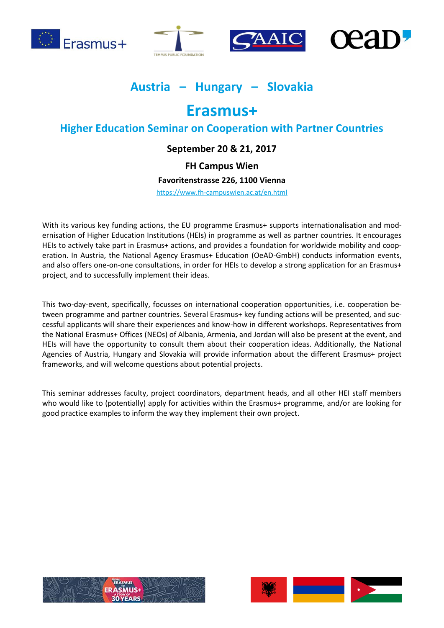







# **Austria – Hungary – Slovakia**

# **Erasmus+**

# **Higher Education Seminar on Cooperation with Partner Countries**

# **September 20 & 21, 2017**

# **FH Campus Wien**

# **Favoritenstrasse 226, 1100 Vienna**

<https://www.fh-campuswien.ac.at/en.html>

With its various key funding actions, the EU programme Erasmus+ supports internationalisation and modernisation of Higher Education Institutions (HEIs) in programme as well as partner countries. It encourages HEIs to actively take part in Erasmus+ actions, and provides a foundation for worldwide mobility and cooperation. In Austria, the National Agency Erasmus+ Education (OeAD-GmbH) conducts information events, and also offers one-on-one consultations, in order for HEIs to develop a strong application for an Erasmus+ project, and to successfully implement their ideas.

This two-day-event, specifically, focusses on international cooperation opportunities, i.e. cooperation between programme and partner countries. Several Erasmus+ key funding actions will be presented, and successful applicants will share their experiences and know-how in different workshops. Representatives from the National Erasmus+ Offices (NEOs) of Albania, Armenia, and Jordan will also be present at the event, and HEIs will have the opportunity to consult them about their cooperation ideas. Additionally, the National Agencies of Austria, Hungary and Slovakia will provide information about the different Erasmus+ project frameworks, and will welcome questions about potential projects.

This seminar addresses faculty, project coordinators, department heads, and all other HEI staff members who would like to (potentially) apply for activities within the Erasmus+ programme, and/or are looking for good practice examples to inform the way they implement their own project.



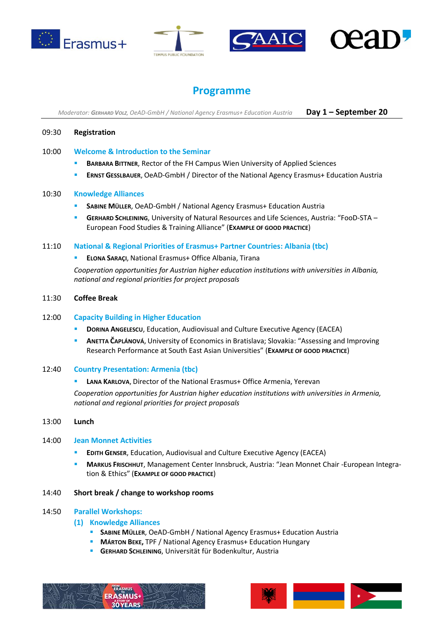







# **Programme**

*Moderator: GERHARD VOLZ, OeAD-GmbH / National Agency Erasmus+ Education Austria* **Day 1 – September 20**

### 09:30 **Registration**

### 10:00 **Welcome & Introduction to the Seminar**

- **BARBARA BITTNER**, Rector of the FH Campus Wien University of Applied Sciences
- **ERNST GESSLBAUER**, OeAD-GmbH / Director of the National Agency Erasmus+ Education Austria

#### 10:30 **Knowledge Alliances**

- **SABINE MÜLLER**, OeAD-GmbH / National Agency Erasmus+ Education Austria
- **GERHARD SCHLEINING**, University of Natural Resources and Life Sciences, Austria: "FooD-STA European Food Studies & Training Alliance" (**EXAMPLE OF GOOD PRACTICE**)

#### 11:10 **National & Regional Priorities of Erasmus+ Partner Countries: Albania (tbc)**

**ELONA SARAÇI**, National Erasmus+ Office Albania, Tirana

*Cooperation opportunities for Austrian higher education institutions with universities in Albania, national and regional priorities for project proposals*

#### 11:30 **Coffee Break**

#### 12:00 **Capacity Building in Higher Education**

- **DORINA ANGELESCU**, Education, Audiovisual and Culture Executive Agency (EACEA)
- **ANETTA ČAPLÁNOVÁ**, University of Economics in Bratislava; Slovakia: "Assessing and Improving Research Performance at South East Asian Universities" (**EXAMPLE OF GOOD PRACTICE**)

#### 12:40 **Country Presentation: Armenia (tbc)**

**LANA KARLOVA**, Director of the National Erasmus+ Office Armenia, Yerevan

*Cooperation opportunities for Austrian higher education institutions with universities in Armenia, national and regional priorities for project proposals*

## 13:00 **Lunch**

#### 14:00 **Jean Monnet Activities**

- **EDITH GENSER**, Education, Audiovisual and Culture Executive Agency (EACEA)
- **MARKUS FRISCHHUT**, Management Center Innsbruck, Austria: "Jean Monnet Chair -European Integration & Ethics" (**EXAMPLE OF GOOD PRACTICE**)

#### 14:40 **Short break / change to workshop rooms**

#### 14:50 **Parallel Workshops:**

#### **(1) Knowledge Alliances**

- **SABINE MÜLLER**, OeAD-GmbH / National Agency Erasmus+ Education Austria
- **MÁRTON BEKE,** TPF / National Agency Erasmus+ Education Hungary
- **GERHARD SCHLEINING**, Universität für Bodenkultur, Austria